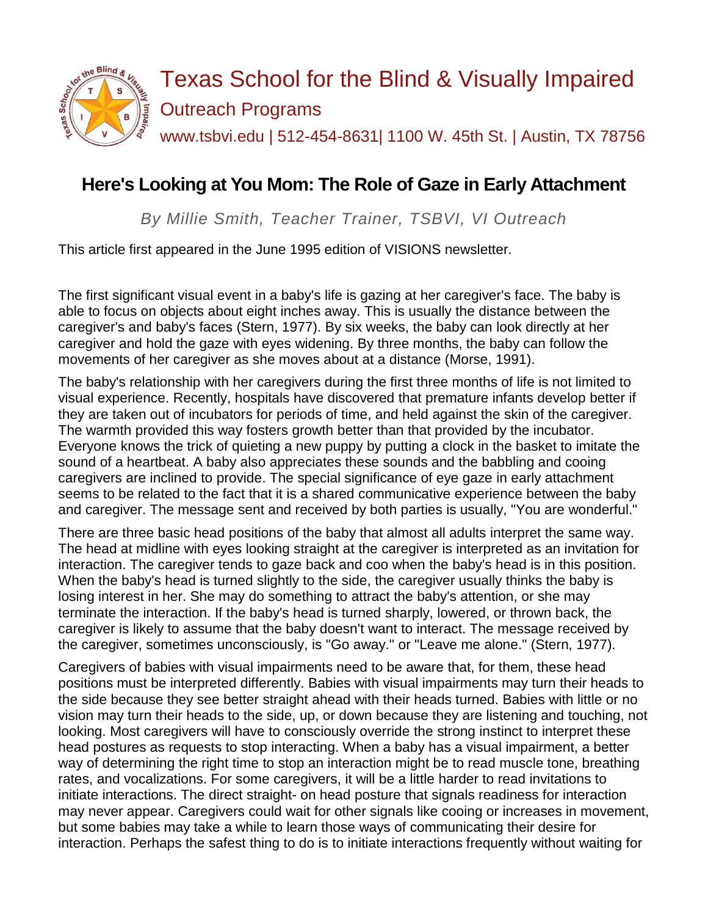

## **Here's Looking at You Mom: The Role of Gaze in Early Attachment**

*By Millie Smith, Teacher Trainer, TSBVI, VI Outreach*

This article first appeared in the June 1995 edition of VISIONS newsletter.

The first significant visual event in a baby's life is gazing at her caregiver's face. The baby is able to focus on objects about eight inches away. This is usually the distance between the caregiver's and baby's faces (Stern, 1977). By six weeks, the baby can look directly at her caregiver and hold the gaze with eyes widening. By three months, the baby can follow the movements of her caregiver as she moves about at a distance (Morse, 1991).

The baby's relationship with her caregivers during the first three months of life is not limited to visual experience. Recently, hospitals have discovered that premature infants develop better if they are taken out of incubators for periods of time, and held against the skin of the caregiver. The warmth provided this way fosters growth better than that provided by the incubator. Everyone knows the trick of quieting a new puppy by putting a clock in the basket to imitate the sound of a heartbeat. A baby also appreciates these sounds and the babbling and cooing caregivers are inclined to provide. The special significance of eye gaze in early attachment seems to be related to the fact that it is a shared communicative experience between the baby and caregiver. The message sent and received by both parties is usually, "You are wonderful."

There are three basic head positions of the baby that almost all adults interpret the same way. The head at midline with eyes looking straight at the caregiver is interpreted as an invitation for interaction. The caregiver tends to gaze back and coo when the baby's head is in this position. When the baby's head is turned slightly to the side, the caregiver usually thinks the baby is losing interest in her. She may do something to attract the baby's attention, or she may terminate the interaction. If the baby's head is turned sharply, lowered, or thrown back, the caregiver is likely to assume that the baby doesn't want to interact. The message received by the caregiver, sometimes unconsciously, is "Go away." or "Leave me alone." (Stern, 1977).

Caregivers of babies with visual impairments need to be aware that, for them, these head positions must be interpreted differently. Babies with visual impairments may turn their heads to the side because they see better straight ahead with their heads turned. Babies with little or no vision may turn their heads to the side, up, or down because they are listening and touching, not looking. Most caregivers will have to consciously override the strong instinct to interpret these head postures as requests to stop interacting. When a baby has a visual impairment, a better way of determining the right time to stop an interaction might be to read muscle tone, breathing rates, and vocalizations. For some caregivers, it will be a little harder to read invitations to initiate interactions. The direct straight- on head posture that signals readiness for interaction may never appear. Caregivers could wait for other signals like cooing or increases in movement, but some babies may take a while to learn those ways of communicating their desire for interaction. Perhaps the safest thing to do is to initiate interactions frequently without waiting for